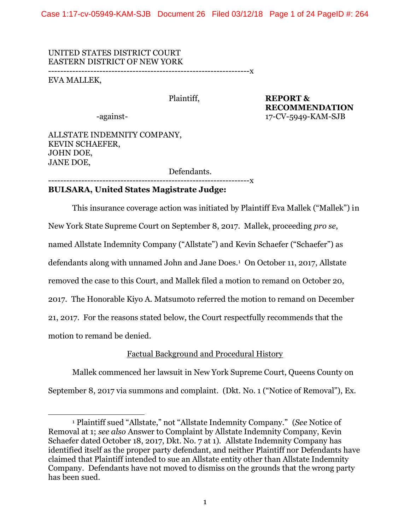Case 1:17-cv-05949-KAM-SJB Document 26 Filed 03/12/18 Page 1 of 24 PageID #: 264

UNITED STATES DISTRICT COURT EASTERN DISTRICT OF NEW YORK

-------------------------------------------------------------------x

EVA MALLEK,

 $\overline{a}$ 

Plaintiff, **REPORT & RECOMMENDATION** -against- 17-CV-5949-KAM-SJB

ALLSTATE INDEMNITY COMPANY, KEVIN SCHAEFER, JOHN DOE, JANE DOE,

Defendants.

 $------x$ 

# **BULSARA, United States Magistrate Judge:**

This insurance coverage action was initiated by Plaintiff Eva Mallek ("Mallek") in New York State Supreme Court on September 8, 2017. Mallek, proceeding *pro se*, named Allstate Indemnity Company ("Allstate") and Kevin Schaefer ("Schaefer") as defendants along with unnamed John and Jane Does.<sup>1</sup> On October 11, 2017, Allstate removed the case to this Court, and Mallek filed a motion to remand on October 20, 2017. The Honorable Kiyo A. Matsumoto referred the motion to remand on December 21, 2017. For the reasons stated below, the Court respectfully recommends that the motion to remand be denied.

# Factual Background and Procedural History

Mallek commenced her lawsuit in New York Supreme Court, Queens County on September 8, 2017 via summons and complaint. (Dkt. No. 1 ("Notice of Removal"), Ex.

<sup>1</sup> Plaintiff sued "Allstate," not "Allstate Indemnity Company." (*See* Notice of Removal at 1; *see also* Answer to Complaint by Allstate Indemnity Company, Kevin Schaefer dated October 18, 2017, Dkt. No. 7 at 1). Allstate Indemnity Company has identified itself as the proper party defendant, and neither Plaintiff nor Defendants have claimed that Plaintiff intended to sue an Allstate entity other than Allstate Indemnity Company. Defendants have not moved to dismiss on the grounds that the wrong party has been sued.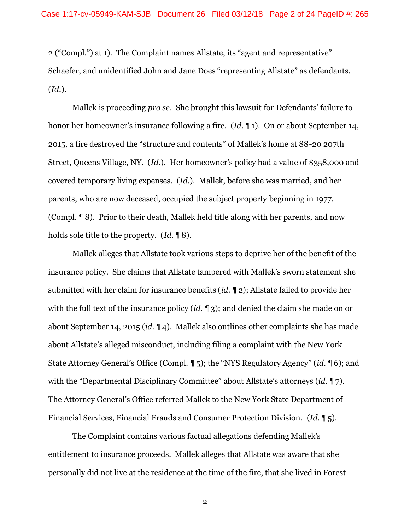2 ("Compl.") at 1). The Complaint names Allstate, its "agent and representative" Schaefer, and unidentified John and Jane Does "representing Allstate" as defendants. (*Id.*).

Mallek is proceeding *pro se*. She brought this lawsuit for Defendants' failure to honor her homeowner's insurance following a fire. (*Id*. ¶ 1). On or about September 14, 2015, a fire destroyed the "structure and contents" of Mallek's home at 88-20 207th Street, Queens Village, NY. (*Id.*). Her homeowner's policy had a value of \$358,000 and covered temporary living expenses. (*Id.*). Mallek, before she was married, and her parents, who are now deceased, occupied the subject property beginning in 1977. (Compl. ¶ 8). Prior to their death, Mallek held title along with her parents, and now holds sole title to the property. (*Id.* ¶ 8).

Mallek alleges that Allstate took various steps to deprive her of the benefit of the insurance policy. She claims that Allstate tampered with Mallek's sworn statement she submitted with her claim for insurance benefits (*id.* ¶ 2); Allstate failed to provide her with the full text of the insurance policy (*id.* ¶ 3); and denied the claim she made on or about September 14, 2015 (*id*. ¶ 4). Mallek also outlines other complaints she has made about Allstate's alleged misconduct, including filing a complaint with the New York State Attorney General's Office (Compl. ¶ 5); the "NYS Regulatory Agency" (*id.* ¶ 6); and with the "Departmental Disciplinary Committee" about Allstate's attorneys (*id.* ¶ 7). The Attorney General's Office referred Mallek to the New York State Department of Financial Services, Financial Frauds and Consumer Protection Division. (*Id.* ¶ 5).

The Complaint contains various factual allegations defending Mallek's entitlement to insurance proceeds. Mallek alleges that Allstate was aware that she personally did not live at the residence at the time of the fire, that she lived in Forest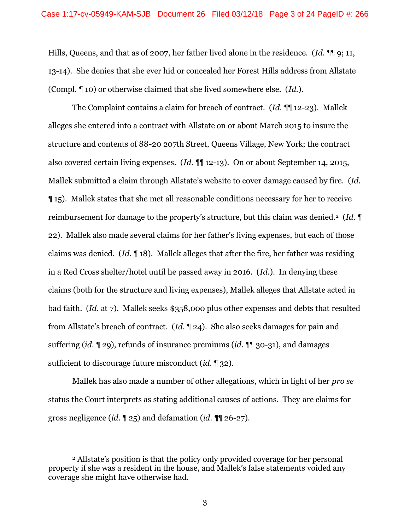Hills, Queens, and that as of 2007, her father lived alone in the residence. (*Id.* ¶¶ 9; 11, 13-14). She denies that she ever hid or concealed her Forest Hills address from Allstate (Compl. ¶ 10) or otherwise claimed that she lived somewhere else. (*Id.*).

The Complaint contains a claim for breach of contract. (*Id.* ¶¶ 12-23). Mallek alleges she entered into a contract with Allstate on or about March 2015 to insure the structure and contents of 88-20 207th Street, Queens Village, New York; the contract also covered certain living expenses. (*Id.* ¶¶ 12-13). On or about September 14, 2015, Mallek submitted a claim through Allstate's website to cover damage caused by fire. (*Id.*  ¶ 15). Mallek states that she met all reasonable conditions necessary for her to receive reimbursement for damage to the property's structure, but this claim was denied.2 (*Id.* ¶ 22). Mallek also made several claims for her father's living expenses, but each of those claims was denied. (*Id.* ¶ 18). Mallek alleges that after the fire, her father was residing in a Red Cross shelter/hotel until he passed away in 2016. (*Id.*). In denying these claims (both for the structure and living expenses), Mallek alleges that Allstate acted in bad faith. (*Id.* at 7). Mallek seeks \$358,000 plus other expenses and debts that resulted from Allstate's breach of contract. (*Id.* ¶ 24). She also seeks damages for pain and suffering (*id.* ¶ 29), refunds of insurance premiums (*id.* ¶¶ 30-31), and damages sufficient to discourage future misconduct (*id.* ¶ 32).

Mallek has also made a number of other allegations, which in light of her *pro se* status the Court interprets as stating additional causes of actions. They are claims for gross negligence (*id.* ¶ 25) and defamation (*id*. ¶¶ 26-27).

<sup>2</sup> Allstate's position is that the policy only provided coverage for her personal property if she was a resident in the house, and Mallek's false statements voided any coverage she might have otherwise had.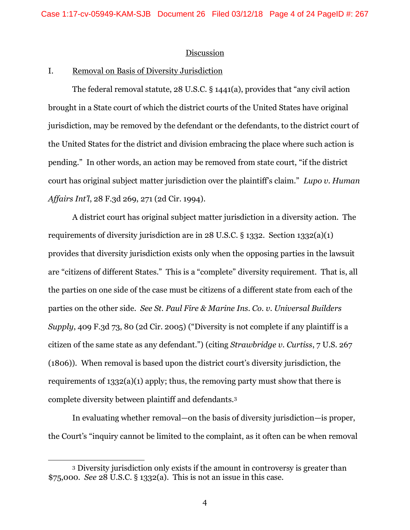#### Discussion

## I. Removal on Basis of Diversity Jurisdiction

The federal removal statute, 28 U.S.C. § 1441(a), provides that "any civil action brought in a State court of which the district courts of the United States have original jurisdiction, may be removed by the defendant or the defendants, to the district court of the United States for the district and division embracing the place where such action is pending." In other words, an action may be removed from state court, "if the district court has original subject matter jurisdiction over the plaintiff's claim." *Lupo v. Human Affairs Int'l*, 28 F.3d 269, 271 (2d Cir. 1994).

A district court has original subject matter jurisdiction in a diversity action. The requirements of diversity jurisdiction are in 28 U.S.C. § 1332. Section 1332(a)(1) provides that diversity jurisdiction exists only when the opposing parties in the lawsuit are "citizens of different States." This is a "complete" diversity requirement. That is, all the parties on one side of the case must be citizens of a different state from each of the parties on the other side. *See St. Paul Fire & Marine Ins. Co. v. Universal Builders Supply*, 409 F.3d 73, 80 (2d Cir. 2005) ("Diversity is not complete if any plaintiff is a citizen of the same state as any defendant.") (citing *Strawbridge v. Curtiss*, 7 U.S. 267 (1806)). When removal is based upon the district court's diversity jurisdiction, the requirements of 1332(a)(1) apply; thus, the removing party must show that there is complete diversity between plaintiff and defendants.<sup>3</sup>

In evaluating whether removal—on the basis of diversity jurisdiction—is proper, the Court's "inquiry cannot be limited to the complaint, as it often can be when removal

<sup>3</sup> Diversity jurisdiction only exists if the amount in controversy is greater than \$75,000. *See* 28 U.S.C. § 1332(a). This is not an issue in this case.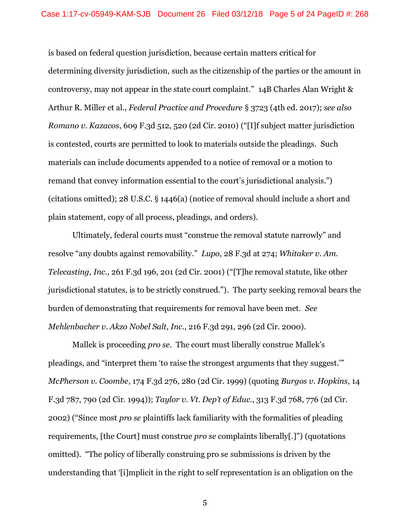is based on federal question jurisdiction, because certain matters critical for determining diversity jurisdiction, such as the citizenship of the parties or the amount in controversy, may not appear in the state court complaint." 14B Charles Alan Wright & Arthur R. Miller et al., *Federal Practice and Procedure* § 3723 (4th ed. 2017); *see also Romano v. Kazacos*, 609 F.3d 512, 520 (2d Cir. 2010) ("[I]f subject matter jurisdiction is contested, courts are permitted to look to materials outside the pleadings. Such materials can include documents appended to a notice of removal or a motion to remand that convey information essential to the court's jurisdictional analysis.") (citations omitted); 28 U.S.C. § 1446(a) (notice of removal should include a short and plain statement, copy of all process, pleadings, and orders).

Ultimately, federal courts must "construe the removal statute narrowly" and resolve "any doubts against removability." *Lupo*, 28 F.3d at 274; *Whitaker v. Am. Telecasting, Inc.,* 261 F.3d 196, 201 (2d Cir. 2001) ("[T]he removal statute, like other jurisdictional statutes, is to be strictly construed."). The party seeking removal bears the burden of demonstrating that requirements for removal have been met. *See Mehlenbacher v. Akzo Nobel Salt, Inc.*, 216 F.3d 291, 296 (2d Cir. 2000).

Mallek is proceeding *pro se*. The court must liberally construe Mallek's pleadings, and "interpret them 'to raise the strongest arguments that they suggest.'" *McPherson v. Coombe*, 174 F.3d 276, 280 (2d Cir. 1999) (quoting *Burgos v. Hopkins*, 14 F.3d 787, 790 (2d Cir. 1994)); *Taylor v. Vt. Dep't of Educ.*, 313 F.3d 768, 776 (2d Cir. 2002) ("Since most *pro se* plaintiffs lack familiarity with the formalities of pleading requirements, [the Court] must construe *pro se* complaints liberally[.]") (quotations omitted). "The policy of liberally construing pro se submissions is driven by the understanding that '[i]mplicit in the right to self representation is an obligation on the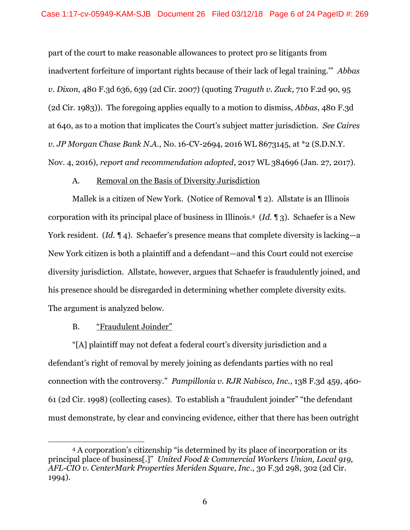part of the court to make reasonable allowances to protect pro se litigants from inadvertent forfeiture of important rights because of their lack of legal training.'" *Abbas v. Dixon*, 480 F.3d 636, 639 (2d Cir. 2007) (quoting *Traguth v. Zuck*, 710 F.2d 90, 95 (2d Cir. 1983)). The foregoing applies equally to a motion to dismiss, *Abbas*, 480 F.3d at 640, as to a motion that implicates the Court's subject matter jurisdiction. *See Caires v. JP Morgan Chase Bank N.A.*, No. 16-CV-2694, 2016 WL 8673145, at \*2 (S.D.N.Y. Nov. 4, 2016), *report and recommendation adopted*, 2017 WL 384696 (Jan. 27, 2017).

## A. Removal on the Basis of Diversity Jurisdiction

Mallek is a citizen of New York. (Notice of Removal ¶ 2). Allstate is an Illinois corporation with its principal place of business in Illinois.4 (*Id.* ¶ 3). Schaefer is a New York resident. *(Id.* 14). Schaefer's presence means that complete diversity is lacking—a New York citizen is both a plaintiff and a defendant—and this Court could not exercise diversity jurisdiction. Allstate, however, argues that Schaefer is fraudulently joined, and his presence should be disregarded in determining whether complete diversity exits. The argument is analyzed below.

# B. "Fraudulent Joinder"

 $\overline{a}$ 

"[A] plaintiff may not defeat a federal court's diversity jurisdiction and a defendant's right of removal by merely joining as defendants parties with no real connection with the controversy." *Pampillonia v. RJR Nabisco, Inc.*, 138 F.3d 459, 460- 61 (2d Cir. 1998) (collecting cases). To establish a "fraudulent joinder" "the defendant must demonstrate, by clear and convincing evidence, either that there has been outright

<sup>4</sup> A corporation's citizenship "is determined by its place of incorporation or its principal place of business[.]" *United Food & Commercial Workers Union, Local 919, AFL-CIO v. CenterMark Properties Meriden Square, Inc*., 30 F.3d 298, 302 (2d Cir. 1994).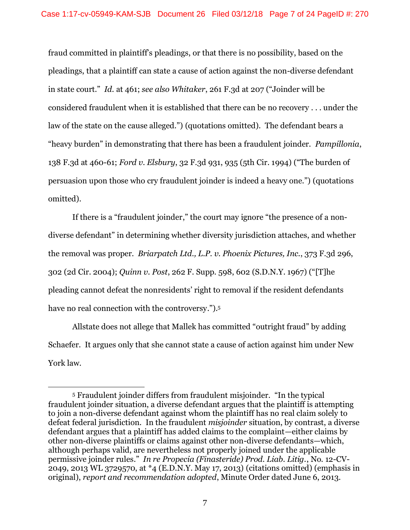fraud committed in plaintiff's pleadings, or that there is no possibility, based on the pleadings, that a plaintiff can state a cause of action against the non-diverse defendant in state court." *Id.* at 461; *see also Whitaker*, 261 F.3d at 207 ("Joinder will be considered fraudulent when it is established that there can be no recovery . . . under the law of the state on the cause alleged.") (quotations omitted). The defendant bears a "heavy burden" in demonstrating that there has been a fraudulent joinder. *Pampillonia*, 138 F.3d at 460-61; *Ford v. Elsbury*, 32 F.3d 931, 935 (5th Cir. 1994) ("The burden of persuasion upon those who cry fraudulent joinder is indeed a heavy one.") (quotations omitted).

If there is a "fraudulent joinder," the court may ignore "the presence of a nondiverse defendant" in determining whether diversity jurisdiction attaches, and whether the removal was proper. *Briarpatch Ltd., L.P. v. Phoenix Pictures, Inc.*, 373 F.3d 296, 302 (2d Cir. 2004); *Quinn v. Post*, 262 F. Supp. 598, 602 (S.D.N.Y. 1967) ("[T]he pleading cannot defeat the nonresidents' right to removal if the resident defendants have no real connection with the controversy."). 5

Allstate does not allege that Mallek has committed "outright fraud" by adding Schaefer. It argues only that she cannot state a cause of action against him under New York law.

<sup>5</sup> Fraudulent joinder differs from fraudulent misjoinder. "In the typical fraudulent joinder situation, a diverse defendant argues that the plaintiff is attempting to join a non-diverse defendant against whom the plaintiff has no real claim solely to defeat federal jurisdiction. In the fraudulent *misjoinder* situation, by contrast, a diverse defendant argues that a plaintiff has added claims to the complaint—either claims by other non-diverse plaintiffs or claims against other non-diverse defendants—which, although perhaps valid, are nevertheless not properly joined under the applicable permissive joinder rules." *In re Propecia (Finasteride) Prod. Liab. Litig.*, No. 12-CV-2049, 2013 WL 3729570, at \*4 (E.D.N.Y. May 17, 2013) (citations omitted) (emphasis in original), *report and recommendation adopted*, Minute Order dated June 6, 2013.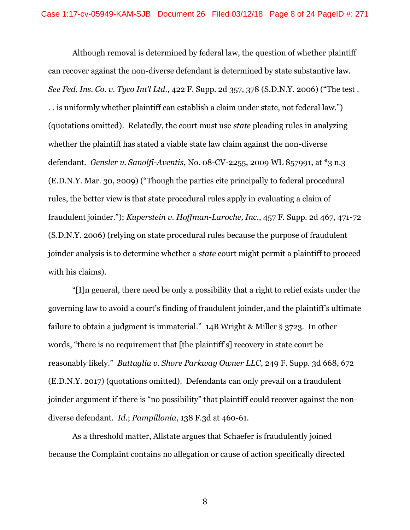Although removal is determined by federal law, the question of whether plaintiff can recover against the non-diverse defendant is determined by state substantive law. *See Fed. Ins. Co. v. Tyco Int'l Ltd.*, 422 F. Supp. 2d 357, 378 (S.D.N.Y. 2006) ("The test . . . is uniformly whether plaintiff can establish a claim under state, not federal law.") (quotations omitted). Relatedly, the court must use *state* pleading rules in analyzing whether the plaintiff has stated a viable state law claim against the non-diverse defendant. *Gensler v. Sanolfi-Aventis*, No. 08-CV-2255, 2009 WL 857991, at \*3 n.3 (E.D.N.Y. Mar. 30, 2009) ("Though the parties cite principally to federal procedural rules, the better view is that state procedural rules apply in evaluating a claim of fraudulent joinder."); *Kuperstein v. Hoffman-Laroche, Inc.*, 457 F. Supp. 2d 467, 471-72 (S.D.N.Y. 2006) (relying on state procedural rules because the purpose of fraudulent joinder analysis is to determine whether a *state* court might permit a plaintiff to proceed with his claims).

"[I]n general, there need be only a possibility that a right to relief exists under the governing law to avoid a court's finding of fraudulent joinder, and the plaintiff's ultimate failure to obtain a judgment is immaterial." 14B Wright & Miller § 3723. In other words, "there is no requirement that [the plaintiff's] recovery in state court be reasonably likely." *Battaglia v. Shore Parkway Owner LLC*, 249 F. Supp. 3d 668, 672 (E.D.N.Y. 2017) (quotations omitted). Defendants can only prevail on a fraudulent joinder argument if there is "no possibility" that plaintiff could recover against the nondiverse defendant. *Id.*; *Pampillonia*, 138 F.3d at 460-61.

As a threshold matter, Allstate argues that Schaefer is fraudulently joined because the Complaint contains no allegation or cause of action specifically directed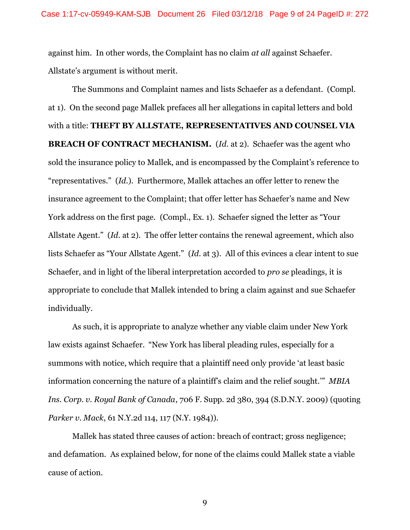against him. In other words, the Complaint has no claim *at all* against Schaefer. Allstate's argument is without merit.

The Summons and Complaint names and lists Schaefer as a defendant. (Compl. at 1). On the second page Mallek prefaces all her allegations in capital letters and bold with a title: **THEFT BY ALLSTATE, REPRESENTATIVES AND COUNSEL VIA BREACH OF CONTRACT MECHANISM.** (*Id.* at 2). Schaefer was the agent who sold the insurance policy to Mallek, and is encompassed by the Complaint's reference to "representatives." (*Id.*). Furthermore, Mallek attaches an offer letter to renew the insurance agreement to the Complaint; that offer letter has Schaefer's name and New York address on the first page. (Compl., Ex. 1). Schaefer signed the letter as "Your Allstate Agent." (*Id.* at 2). The offer letter contains the renewal agreement, which also lists Schaefer as "Your Allstate Agent." (*Id.* at 3). All of this evinces a clear intent to sue Schaefer, and in light of the liberal interpretation accorded to *pro se* pleadings, it is appropriate to conclude that Mallek intended to bring a claim against and sue Schaefer individually.

As such, it is appropriate to analyze whether any viable claim under New York law exists against Schaefer. "New York has liberal pleading rules, especially for a summons with notice, which require that a plaintiff need only provide 'at least basic information concerning the nature of a plaintiff's claim and the relief sought.'" *MBIA Ins. Corp. v. Royal Bank of Canada*, 706 F. Supp. 2d 380, 394 (S.D.N.Y. 2009) (quoting *Parker v. Mack*, 61 N.Y.2d 114, 117 (N.Y. 1984)).

Mallek has stated three causes of action: breach of contract; gross negligence; and defamation. As explained below, for none of the claims could Mallek state a viable cause of action.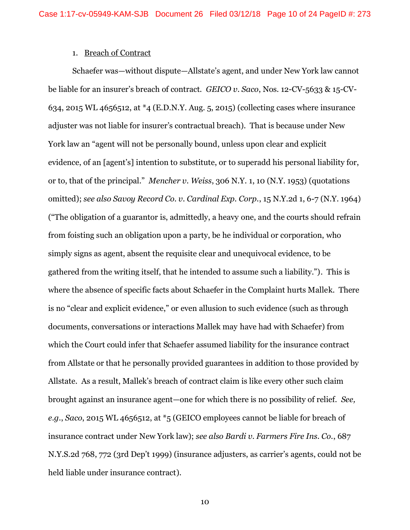#### 1. Breach of Contract

Schaefer was—without dispute—Allstate's agent, and under New York law cannot be liable for an insurer's breach of contract. *GEICO v. Saco*, Nos. 12-CV-5633 & 15-CV-634, 2015 WL 4656512, at \*4 (E.D.N.Y. Aug. 5, 2015) (collecting cases where insurance adjuster was not liable for insurer's contractual breach). That is because under New York law an "agent will not be personally bound, unless upon clear and explicit evidence, of an [agent's] intention to substitute, or to superadd his personal liability for, or to, that of the principal." *Mencher v. Weiss*, 306 N.Y. 1, 10 (N.Y. 1953) (quotations omitted); *see also Savoy Record Co. v. Cardinal Exp. Corp.*, 15 N.Y.2d 1, 6-7 (N.Y. 1964) ("The obligation of a guarantor is, admittedly, a heavy one, and the courts should refrain from foisting such an obligation upon a party, be he individual or corporation, who simply signs as agent, absent the requisite clear and unequivocal evidence, to be gathered from the writing itself, that he intended to assume such a liability."). This is where the absence of specific facts about Schaefer in the Complaint hurts Mallek. There is no "clear and explicit evidence," or even allusion to such evidence (such as through documents, conversations or interactions Mallek may have had with Schaefer) from which the Court could infer that Schaefer assumed liability for the insurance contract from Allstate or that he personally provided guarantees in addition to those provided by Allstate. As a result, Mallek's breach of contract claim is like every other such claim brought against an insurance agent—one for which there is no possibility of relief. *See, e.g.*, *Saco*, 2015 WL 4656512, at \*5 (GEICO employees cannot be liable for breach of insurance contract under New York law); *see also Bardi v. Farmers Fire Ins. Co.*, 687 N.Y.S.2d 768, 772 (3rd Dep't 1999) (insurance adjusters, as carrier's agents, could not be held liable under insurance contract).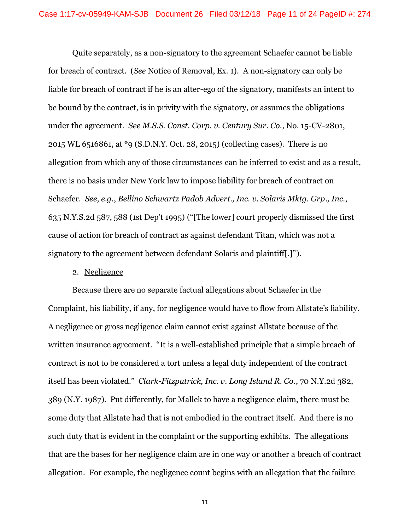Quite separately, as a non-signatory to the agreement Schaefer cannot be liable for breach of contract. (*See* Notice of Removal, Ex. 1). A non-signatory can only be liable for breach of contract if he is an alter-ego of the signatory, manifests an intent to be bound by the contract, is in privity with the signatory, or assumes the obligations under the agreement. *See M.S.S. Const. Corp. v. Century Sur. Co.*, No. 15-CV-2801, 2015 WL 6516861, at \*9 (S.D.N.Y. Oct. 28, 2015) (collecting cases). There is no allegation from which any of those circumstances can be inferred to exist and as a result, there is no basis under New York law to impose liability for breach of contract on Schaefer. *See, e.g.*, *Bellino Schwartz Padob Advert., Inc. v. Solaris Mktg. Grp., Inc.*, 635 N.Y.S.2d 587, 588 (1st Dep't 1995) ("[The lower] court properly dismissed the first cause of action for breach of contract as against defendant Titan, which was not a signatory to the agreement between defendant Solaris and plaintiff[.]").

## 2. Negligence

Because there are no separate factual allegations about Schaefer in the Complaint, his liability, if any, for negligence would have to flow from Allstate's liability. A negligence or gross negligence claim cannot exist against Allstate because of the written insurance agreement. "It is a well-established principle that a simple breach of contract is not to be considered a tort unless a legal duty independent of the contract itself has been violated." *Clark-Fitzpatrick, Inc. v. Long Island R. Co.*, 70 N.Y.2d 382, 389 (N.Y. 1987). Put differently, for Mallek to have a negligence claim, there must be some duty that Allstate had that is not embodied in the contract itself. And there is no such duty that is evident in the complaint or the supporting exhibits. The allegations that are the bases for her negligence claim are in one way or another a breach of contract allegation. For example, the negligence count begins with an allegation that the failure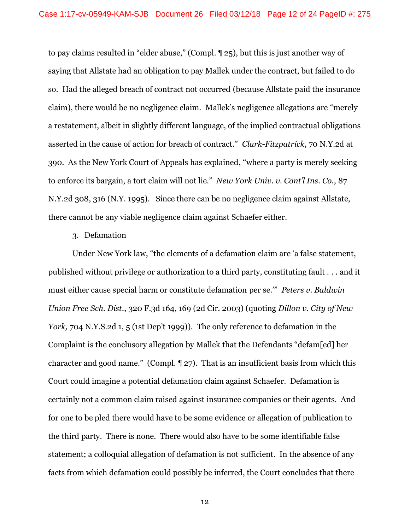to pay claims resulted in "elder abuse," (Compl. ¶ 25), but this is just another way of saying that Allstate had an obligation to pay Mallek under the contract, but failed to do so. Had the alleged breach of contract not occurred (because Allstate paid the insurance claim), there would be no negligence claim. Mallek's negligence allegations are "merely a restatement, albeit in slightly different language, of the implied contractual obligations asserted in the cause of action for breach of contract." *Clark-Fitzpatrick*, 70 N.Y.2d at 390. As the New York Court of Appeals has explained, "where a party is merely seeking to enforce its bargain, a tort claim will not lie." *New York Univ. v. Cont'l Ins. Co.*, 87 N.Y.2d 308, 316 (N.Y. 1995). Since there can be no negligence claim against Allstate, there cannot be any viable negligence claim against Schaefer either.

#### 3. Defamation

Under New York law, "the elements of a defamation claim are 'a false statement, published without privilege or authorization to a third party, constituting fault . . . and it must either cause special harm or constitute defamation per se.'" *Peters v. Baldwin Union Free Sch. Dist.*, 320 F.3d 164, 169 (2d Cir. 2003) (quoting *Dillon v. City of New York,* 704 N.Y.S.2d 1, 5 (1st Dep't 1999)). The only reference to defamation in the Complaint is the conclusory allegation by Mallek that the Defendants "defam[ed] her character and good name." (Compl. ¶ 27). That is an insufficient basis from which this Court could imagine a potential defamation claim against Schaefer. Defamation is certainly not a common claim raised against insurance companies or their agents. And for one to be pled there would have to be some evidence or allegation of publication to the third party. There is none. There would also have to be some identifiable false statement; a colloquial allegation of defamation is not sufficient. In the absence of any facts from which defamation could possibly be inferred, the Court concludes that there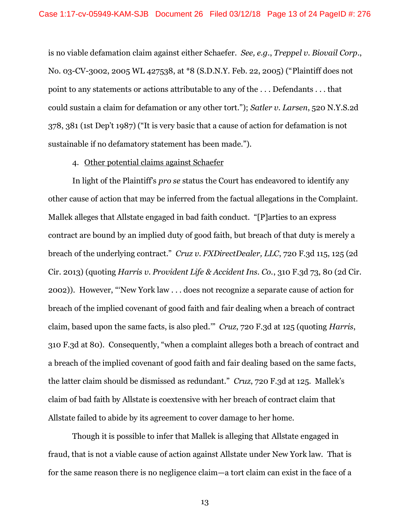is no viable defamation claim against either Schaefer. *See, e.g.*, *Treppel v. Biovail Corp*., No. 03-CV-3002, 2005 WL 427538, at \*8 (S.D.N.Y. Feb. 22, 2005) ("Plaintiff does not point to any statements or actions attributable to any of the . . . Defendants . . . that could sustain a claim for defamation or any other tort."); *Satler v. Larsen*, 520 N.Y.S.2d 378, 381 (1st Dep't 1987) ("It is very basic that a cause of action for defamation is not sustainable if no defamatory statement has been made.").

#### 4. Other potential claims against Schaefer

In light of the Plaintiff's *pro se* status the Court has endeavored to identify any other cause of action that may be inferred from the factual allegations in the Complaint. Mallek alleges that Allstate engaged in bad faith conduct. "[P]arties to an express contract are bound by an implied duty of good faith, but breach of that duty is merely a breach of the underlying contract." *Cruz v. FXDirectDealer, LLC*, 720 F.3d 115, 125 (2d Cir. 2013) (quoting *Harris v. Provident Life & Accident Ins. Co.*, 310 F.3d 73, 80 (2d Cir. 2002)). However, "'New York law . . . does not recognize a separate cause of action for breach of the implied covenant of good faith and fair dealing when a breach of contract claim, based upon the same facts, is also pled.'" *Cruz*, 720 F.3d at 125 (quoting *Harris*, 310 F.3d at 80). Consequently, "when a complaint alleges both a breach of contract and a breach of the implied covenant of good faith and fair dealing based on the same facts, the latter claim should be dismissed as redundant." *Cruz*, 720 F.3d at 125. Mallek's claim of bad faith by Allstate is coextensive with her breach of contract claim that Allstate failed to abide by its agreement to cover damage to her home.

Though it is possible to infer that Mallek is alleging that Allstate engaged in fraud, that is not a viable cause of action against Allstate under New York law. That is for the same reason there is no negligence claim—a tort claim can exist in the face of a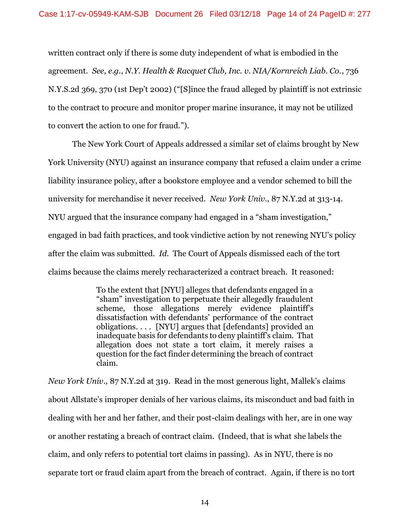written contract only if there is some duty independent of what is embodied in the agreement. *See, e.g.*, *N.Y. Health & Racquet Club, Inc. v. NIA/Kornreich Liab. Co.*, 736 N.Y.S.2d 369, 370 (1st Dep't 2002) ("[S]ince the fraud alleged by plaintiff is not extrinsic to the contract to procure and monitor proper marine insurance, it may not be utilized to convert the action to one for fraud.").

The New York Court of Appeals addressed a similar set of claims brought by New York University (NYU) against an insurance company that refused a claim under a crime liability insurance policy, after a bookstore employee and a vendor schemed to bill the university for merchandise it never received. *New York Univ.*, 87 N.Y.2d at 313-14. NYU argued that the insurance company had engaged in a "sham investigation," engaged in bad faith practices, and took vindictive action by not renewing NYU's policy after the claim was submitted. *Id.* The Court of Appeals dismissed each of the tort claims because the claims merely recharacterized a contract breach. It reasoned:

> To the extent that [NYU] alleges that defendants engaged in a "sham" investigation to perpetuate their allegedly fraudulent scheme, those allegations merely evidence plaintiff's dissatisfaction with defendants' performance of the contract obligations. . . . [NYU] argues that [defendants] provided an inadequate basis for defendants to deny plaintiff's claim. That allegation does not state a tort claim, it merely raises a question for the fact finder determining the breach of contract claim.

*New York Univ.,* 87 N.Y.2d at 319. Read in the most generous light, Mallek's claims about Allstate's improper denials of her various claims, its misconduct and bad faith in dealing with her and her father, and their post-claim dealings with her, are in one way or another restating a breach of contract claim. (Indeed, that is what she labels the claim, and only refers to potential tort claims in passing). As in NYU, there is no separate tort or fraud claim apart from the breach of contract. Again, if there is no tort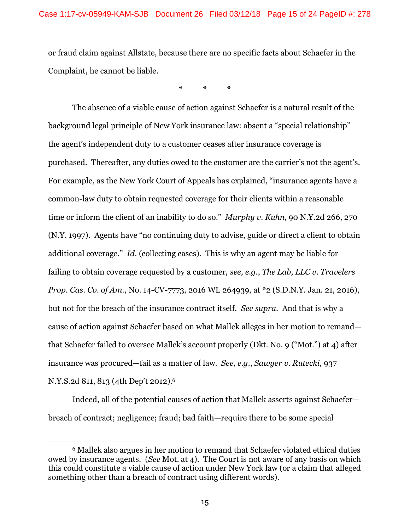or fraud claim against Allstate, because there are no specific facts about Schaefer in the Complaint, he cannot be liable.

\* \* \*

The absence of a viable cause of action against Schaefer is a natural result of the background legal principle of New York insurance law: absent a "special relationship" the agent's independent duty to a customer ceases after insurance coverage is purchased. Thereafter, any duties owed to the customer are the carrier's not the agent's. For example, as the New York Court of Appeals has explained, "insurance agents have a common-law duty to obtain requested coverage for their clients within a reasonable time or inform the client of an inability to do so." *Murphy v. Kuhn*, 90 N.Y.2d 266, 270 (N.Y. 1997). Agents have "no continuing duty to advise, guide or direct a client to obtain additional coverage." *Id.* (collecting cases). This is why an agent may be liable for failing to obtain coverage requested by a customer, *see, e.g.*, *The Lab, LLC v. Travelers Prop. Cas. Co. of Am.*, No. 14-CV-7773, 2016 WL 264939, at \*2 (S.D.N.Y. Jan. 21, 2016), but not for the breach of the insurance contract itself. *See supra*. And that is why a cause of action against Schaefer based on what Mallek alleges in her motion to remand that Schaefer failed to oversee Mallek's account properly (Dkt. No. 9 ("Mot.") at 4) after insurance was procured—fail as a matter of law. *See, e.g.*, *Sawyer v. Rutecki*, 937 N.Y.S.2d 811, 813 (4th Dep't 2012). 6

Indeed, all of the potential causes of action that Mallek asserts against Schaefer breach of contract; negligence; fraud; bad faith—require there to be some special

<sup>6</sup> Mallek also argues in her motion to remand that Schaefer violated ethical duties owed by insurance agents. (*See* Mot. at 4). The Court is not aware of any basis on which this could constitute a viable cause of action under New York law (or a claim that alleged something other than a breach of contract using different words).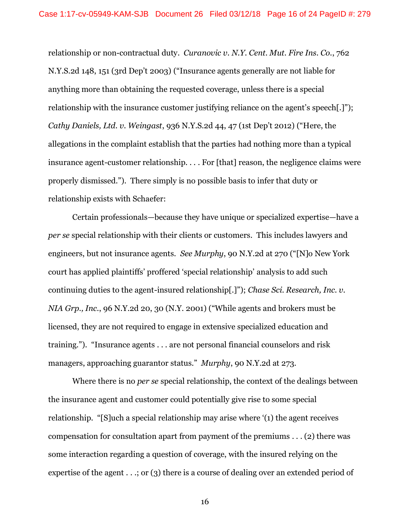relationship or non-contractual duty. *Curanovic v. N.Y. Cent. Mut. Fire Ins. Co.*, 762 N.Y.S.2d 148, 151 (3rd Dep't 2003) ("Insurance agents generally are not liable for anything more than obtaining the requested coverage, unless there is a special relationship with the insurance customer justifying reliance on the agent's speech.]"); *Cathy Daniels, Ltd. v. Weingast*, 936 N.Y.S.2d 44, 47 (1st Dep't 2012) ("Here, the allegations in the complaint establish that the parties had nothing more than a typical insurance agent-customer relationship. . . . For [that] reason, the negligence claims were properly dismissed."). There simply is no possible basis to infer that duty or relationship exists with Schaefer:

Certain professionals—because they have unique or specialized expertise—have a *per se* special relationship with their clients or customers. This includes lawyers and engineers, but not insurance agents. *See Murphy*, 90 N.Y.2d at 270 ("[N]o New York court has applied plaintiffs' proffered 'special relationship' analysis to add such continuing duties to the agent-insured relationship[.]"); *Chase Sci. Research, Inc. v. NIA Grp., Inc.*, 96 N.Y.2d 20, 30 (N.Y. 2001) ("While agents and brokers must be licensed, they are not required to engage in extensive specialized education and training."). "Insurance agents . . . are not personal financial counselors and risk managers, approaching guarantor status." *Murphy*, 90 N.Y.2d at 273.

Where there is no *per se* special relationship, the context of the dealings between the insurance agent and customer could potentially give rise to some special relationship. "[S]uch a special relationship may arise where '(1) the agent receives compensation for consultation apart from payment of the premiums . . . (2) there was some interaction regarding a question of coverage, with the insured relying on the expertise of the agent . . .; or (3) there is a course of dealing over an extended period of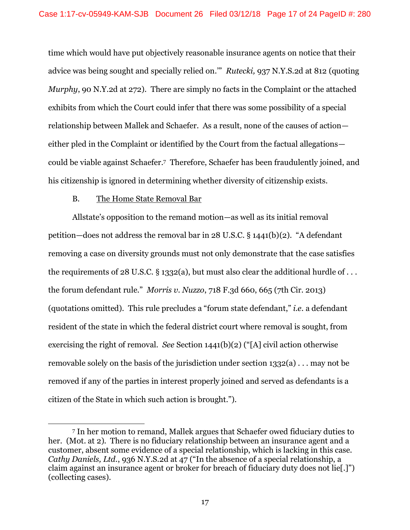time which would have put objectively reasonable insurance agents on notice that their advice was being sought and specially relied on.'" *Rutecki,* 937 N.Y.S.2d at 812 (quoting *Murphy*, 90 N.Y.2d at 272). There are simply no facts in the Complaint or the attached exhibits from which the Court could infer that there was some possibility of a special relationship between Mallek and Schaefer. As a result, none of the causes of action either pled in the Complaint or identified by the Court from the factual allegations could be viable against Schaefer.7 Therefore, Schaefer has been fraudulently joined, and his citizenship is ignored in determining whether diversity of citizenship exists.

## B. The Home State Removal Bar

 $\overline{a}$ 

Allstate's opposition to the remand motion—as well as its initial removal petition—does not address the removal bar in 28 U.S.C. § 1441(b)(2). "A defendant removing a case on diversity grounds must not only demonstrate that the case satisfies the requirements of 28 U.S.C. § 1332(a), but must also clear the additional hurdle of  $\dots$ the forum defendant rule." *Morris v. Nuzzo*, 718 F.3d 660, 665 (7th Cir. 2013) (quotations omitted). This rule precludes a "forum state defendant," *i.e.* a defendant resident of the state in which the federal district court where removal is sought, from exercising the right of removal. *See* Section 1441(b)(2) ("[A] civil action otherwise removable solely on the basis of the jurisdiction under section 1332(a) . . . may not be removed if any of the parties in interest properly joined and served as defendants is a citizen of the State in which such action is brought.").

<sup>7</sup> In her motion to remand, Mallek argues that Schaefer owed fiduciary duties to her. (Mot. at 2). There is no fiduciary relationship between an insurance agent and a customer, absent some evidence of a special relationship, which is lacking in this case. *Cathy Daniels, Ltd.*, 936 N.Y.S.2d at 47 ("In the absence of a special relationship, a claim against an insurance agent or broker for breach of fiduciary duty does not lie[.]") (collecting cases).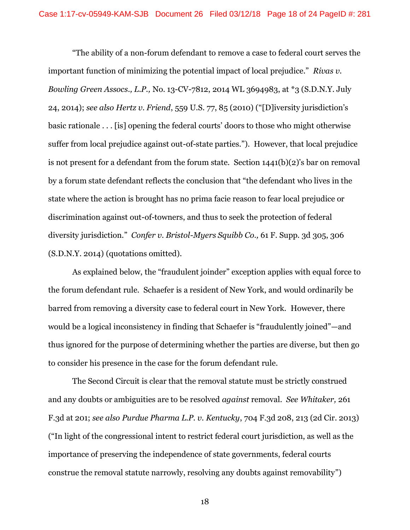"The ability of a non-forum defendant to remove a case to federal court serves the important function of minimizing the potential impact of local prejudice." *Rivas v. Bowling Green Assocs., L.P.,* No. 13-CV-7812, 2014 WL 3694983, at \*3 (S.D.N.Y. July 24, 2014); *see also Hertz v. Friend*, 559 U.S. 77, 85 (2010) ("[D]iversity jurisdiction's basic rationale . . . [is] opening the federal courts' doors to those who might otherwise suffer from local prejudice against out-of-state parties."). However, that local prejudice is not present for a defendant from the forum state. Section 1441(b)(2)'s bar on removal by a forum state defendant reflects the conclusion that "the defendant who lives in the state where the action is brought has no prima facie reason to fear local prejudice or discrimination against out-of-towners, and thus to seek the protection of federal diversity jurisdiction." *Confer v. Bristol-Myers Squibb Co.,* 61 F. Supp. 3d 305, 306 (S.D.N.Y. 2014) (quotations omitted).

As explained below, the "fraudulent joinder" exception applies with equal force to the forum defendant rule. Schaefer is a resident of New York, and would ordinarily be barred from removing a diversity case to federal court in New York. However, there would be a logical inconsistency in finding that Schaefer is "fraudulently joined"—and thus ignored for the purpose of determining whether the parties are diverse, but then go to consider his presence in the case for the forum defendant rule.

The Second Circuit is clear that the removal statute must be strictly construed and any doubts or ambiguities are to be resolved *against* removal. *See Whitaker,* 261 F.3d at 201; *see also Purdue Pharma L.P. v. Kentucky*, 704 F.3d 208, 213 (2d Cir. 2013) ("In light of the congressional intent to restrict federal court jurisdiction, as well as the importance of preserving the independence of state governments, federal courts construe the removal statute narrowly, resolving any doubts against removability")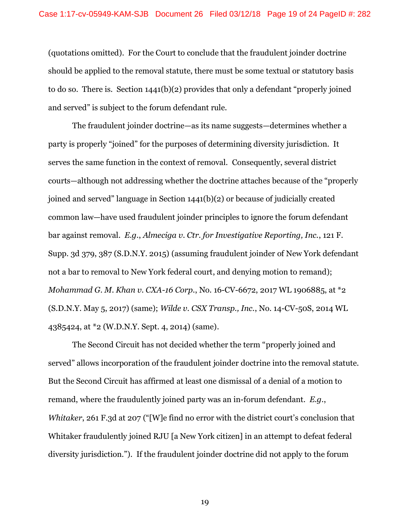(quotations omitted). For the Court to conclude that the fraudulent joinder doctrine should be applied to the removal statute, there must be some textual or statutory basis to do so. There is. Section 1441(b)(2) provides that only a defendant "properly joined and served" is subject to the forum defendant rule.

The fraudulent joinder doctrine—as its name suggests—determines whether a party is properly "joined" for the purposes of determining diversity jurisdiction. It serves the same function in the context of removal. Consequently, several district courts—although not addressing whether the doctrine attaches because of the "properly joined and served" language in Section 1441(b)(2) or because of judicially created common law—have used fraudulent joinder principles to ignore the forum defendant bar against removal. *E.g.*, *Almeciga v. Ctr. for Investigative Reporting, Inc.*, 121 F. Supp. 3d 379, 387 (S.D.N.Y. 2015) (assuming fraudulent joinder of New York defendant not a bar to removal to New York federal court, and denying motion to remand); *Mohammad G. M. Khan v. CXA-16 Corp.*, No. 16-CV-6672, 2017 WL 1906885, at \*2 (S.D.N.Y. May 5, 2017) (same); *Wilde v. CSX Transp., Inc.*, No. 14-CV-50S, 2014 WL 4385424, at \*2 (W.D.N.Y. Sept. 4, 2014) (same).

The Second Circuit has not decided whether the term "properly joined and served" allows incorporation of the fraudulent joinder doctrine into the removal statute. But the Second Circuit has affirmed at least one dismissal of a denial of a motion to remand, where the fraudulently joined party was an in-forum defendant. *E.g.*, *Whitaker*, 261 F.3d at 207 ("[W]e find no error with the district court's conclusion that Whitaker fraudulently joined RJU [a New York citizen] in an attempt to defeat federal diversity jurisdiction."). If the fraudulent joinder doctrine did not apply to the forum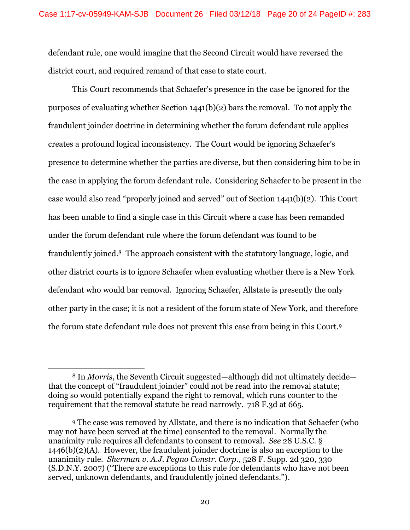defendant rule, one would imagine that the Second Circuit would have reversed the district court, and required remand of that case to state court.

This Court recommends that Schaefer's presence in the case be ignored for the purposes of evaluating whether Section 1441(b)(2) bars the removal. To not apply the fraudulent joinder doctrine in determining whether the forum defendant rule applies creates a profound logical inconsistency. The Court would be ignoring Schaefer's presence to determine whether the parties are diverse, but then considering him to be in the case in applying the forum defendant rule. Considering Schaefer to be present in the case would also read "properly joined and served" out of Section 1441(b)(2). This Court has been unable to find a single case in this Circuit where a case has been remanded under the forum defendant rule where the forum defendant was found to be fraudulently joined. <sup>8</sup> The approach consistent with the statutory language, logic, and other district courts is to ignore Schaefer when evaluating whether there is a New York defendant who would bar removal. Ignoring Schaefer, Allstate is presently the only other party in the case; it is not a resident of the forum state of New York, and therefore the forum state defendant rule does not prevent this case from being in this Court.<sup>9</sup>

<sup>8</sup> In *Morris*, the Seventh Circuit suggested—although did not ultimately decide that the concept of "fraudulent joinder" could not be read into the removal statute; doing so would potentially expand the right to removal, which runs counter to the requirement that the removal statute be read narrowly. 718 F.3d at 665.

<sup>9</sup> The case was removed by Allstate, and there is no indication that Schaefer (who may not have been served at the time) consented to the removal. Normally the unanimity rule requires all defendants to consent to removal. *See* 28 U.S.C. § 1446(b)(2)(A). However, the fraudulent joinder doctrine is also an exception to the unanimity rule. *Sherman v. A.J. Pegno Constr. Corp.*, 528 F. Supp. 2d 320, 330 (S.D.N.Y. 2007) ("There are exceptions to this rule for defendants who have not been served, unknown defendants, and fraudulently joined defendants.").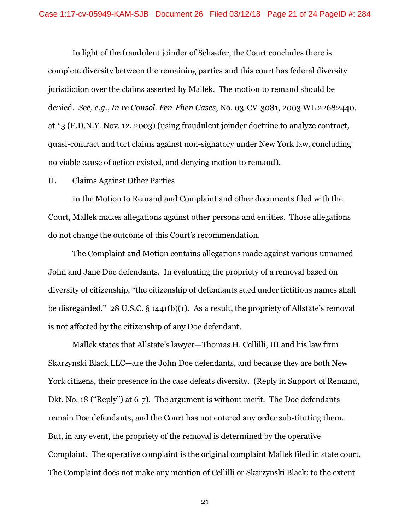In light of the fraudulent joinder of Schaefer, the Court concludes there is complete diversity between the remaining parties and this court has federal diversity jurisdiction over the claims asserted by Mallek. The motion to remand should be denied. *See, e.g.*, *In re Consol. Fen-Phen Cases*, No. 03-CV-3081, 2003 WL 22682440, at \*3 (E.D.N.Y. Nov. 12, 2003) (using fraudulent joinder doctrine to analyze contract, quasi-contract and tort claims against non-signatory under New York law, concluding no viable cause of action existed, and denying motion to remand).

#### II. Claims Against Other Parties

In the Motion to Remand and Complaint and other documents filed with the Court, Mallek makes allegations against other persons and entities. Those allegations do not change the outcome of this Court's recommendation.

The Complaint and Motion contains allegations made against various unnamed John and Jane Doe defendants. In evaluating the propriety of a removal based on diversity of citizenship, "the citizenship of defendants sued under fictitious names shall be disregarded." 28 U.S.C. § 1441(b)(1). As a result, the propriety of Allstate's removal is not affected by the citizenship of any Doe defendant.

Mallek states that Allstate's lawyer—Thomas H. Cellilli, III and his law firm Skarzynski Black LLC—are the John Doe defendants, and because they are both New York citizens, their presence in the case defeats diversity. (Reply in Support of Remand, Dkt. No. 18 ("Reply") at 6-7). The argument is without merit. The Doe defendants remain Doe defendants, and the Court has not entered any order substituting them. But, in any event, the propriety of the removal is determined by the operative Complaint. The operative complaint is the original complaint Mallek filed in state court. The Complaint does not make any mention of Cellilli or Skarzynski Black; to the extent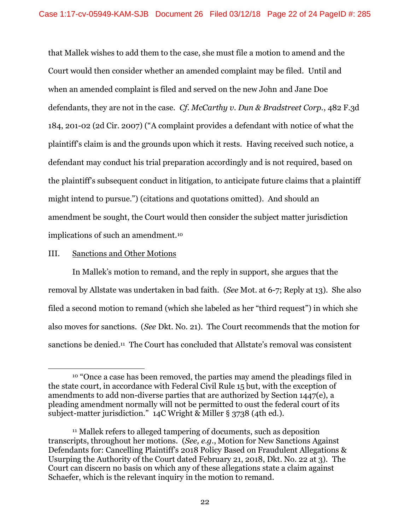that Mallek wishes to add them to the case, she must file a motion to amend and the Court would then consider whether an amended complaint may be filed. Until and when an amended complaint is filed and served on the new John and Jane Doe defendants, they are not in the case. *Cf. McCarthy v. Dun & Bradstreet Corp.*, 482 F.3d 184, 201-02 (2d Cir. 2007) ("A complaint provides a defendant with notice of what the plaintiff's claim is and the grounds upon which it rests. Having received such notice, a defendant may conduct his trial preparation accordingly and is not required, based on the plaintiff's subsequent conduct in litigation, to anticipate future claims that a plaintiff might intend to pursue.") (citations and quotations omitted). And should an amendment be sought, the Court would then consider the subject matter jurisdiction implications of such an amendment.<sup>10</sup>

## III. Sanctions and Other Motions

 $\overline{a}$ 

In Mallek's motion to remand, and the reply in support, she argues that the removal by Allstate was undertaken in bad faith. (*See* Mot. at 6-7; Reply at 13). She also filed a second motion to remand (which she labeled as her "third request") in which she also moves for sanctions. (*See* Dkt. No. 21). The Court recommends that the motion for sanctions be denied.<sup>11</sup> The Court has concluded that Allstate's removal was consistent

<sup>10</sup> "Once a case has been removed, the parties may amend the pleadings filed in the state court, in accordance with Federal Civil Rule 15 but, with the exception of amendments to add non-diverse parties that are authorized by Section 1447(e), a pleading amendment normally will not be permitted to oust the federal court of its subject-matter jurisdiction."  $14C$  Wright & Miller § 3738 (4th ed.).

<sup>11</sup> Mallek refers to alleged tampering of documents, such as deposition transcripts, throughout her motions. (*See, e.g.*, Motion for New Sanctions Against Defendants for: Cancelling Plaintiff's 2018 Policy Based on Fraudulent Allegations & Usurping the Authority of the Court dated February 21, 2018, Dkt. No. 22 at 3). The Court can discern no basis on which any of these allegations state a claim against Schaefer, which is the relevant inquiry in the motion to remand.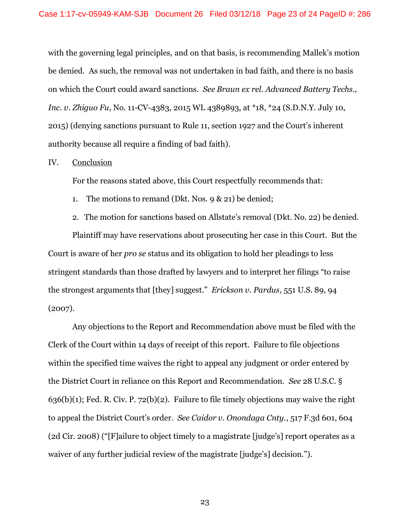with the governing legal principles, and on that basis, is recommending Mallek's motion be denied. As such, the removal was not undertaken in bad faith, and there is no basis on which the Court could award sanctions. *See Braun ex rel. Advanced Battery Techs., Inc*. *v. Zhiguo Fu*, No. 11-CV-4383, 2015 WL 4389893, at \*18, \*24 (S.D.N.Y. July 10, 2015) (denying sanctions pursuant to Rule 11, section 1927 and the Court's inherent authority because all require a finding of bad faith).

## IV. Conclusion

For the reasons stated above, this Court respectfully recommends that:

- 1. The motions to remand (Dkt. Nos. 9 & 21) be denied;
- 2. The motion for sanctions based on Allstate's removal (Dkt. No. 22) be denied.

Plaintiff may have reservations about prosecuting her case in this Court. But the Court is aware of her *pro se* status and its obligation to hold her pleadings to less stringent standards than those drafted by lawyers and to interpret her filings "to raise the strongest arguments that [they] suggest." *Erickson v. Pardus*, 551 U.S. 89, 94 (2007).

Any objections to the Report and Recommendation above must be filed with the Clerk of the Court within 14 days of receipt of this report. Failure to file objections within the specified time waives the right to appeal any judgment or order entered by the District Court in reliance on this Report and Recommendation. *See* [28 U.S.C. §](https://www.westlaw.com/Document/NE76D7C80E34E11DEA7C5EABE04182D4D/View/FullText.html?transitionType=Default&contextData=(sc.Default)&VR=3.0&RS=da3.0)   $636(b)(1)$ ; [Fed. R. Civ. P. 72\(b\)\(2\).](https://www.westlaw.com/Document/NC74C9100B96C11D8983DF34406B5929B/View/FullText.html?transitionType=Default&contextData=(sc.Default)&VR=3.0&RS=da3.0) Failure to file timely objections may waive the right to appeal the District Court's order. *See [Caidor v. Onondaga Cnty.](https://www.westlaw.com/Document/If530c3a8e0ad11dcb6a3a099756c05b7/View/FullText.html?transitionType=Default&contextData=(sc.Default)&VR=3.0&RS=da3.0&fragmentIdentifier=co_pp_sp_506_604)*, 517 F.3d 601, 604 [\(2d Cir. 2008\)](https://www.westlaw.com/Document/If530c3a8e0ad11dcb6a3a099756c05b7/View/FullText.html?transitionType=Default&contextData=(sc.Default)&VR=3.0&RS=da3.0&fragmentIdentifier=co_pp_sp_506_604) ("[F]ailure to object timely to a magistrate [judge's] report operates as a waiver of any further judicial review of the magistrate [judge's] decision.").